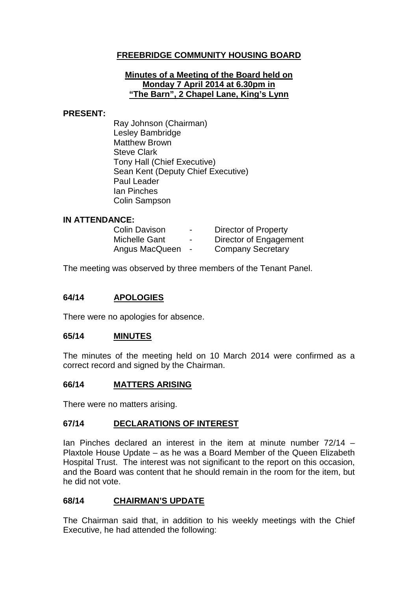## **FREEBRIDGE COMMUNITY HOUSING BOARD**

#### **Minutes of a Meeting of the Board held on Monday 7 April 2014 at 6.30pm in "The Barn", 2 Chapel Lane, King's Lynn**

#### **PRESENT:**

Ray Johnson (Chairman) Lesley Bambridge Matthew Brown Steve Clark Tony Hall (Chief Executive) Sean Kent (Deputy Chief Executive) Paul Leader Ian Pinches Colin Sampson

#### **IN ATTENDANCE:**

| <b>Colin Davison</b> | $\blacksquare$ | Director of Property     |
|----------------------|----------------|--------------------------|
| Michelle Gant        | $\blacksquare$ | Director of Engagement   |
| Angus MacQueen       | $\blacksquare$ | <b>Company Secretary</b> |

The meeting was observed by three members of the Tenant Panel.

#### **64/14 APOLOGIES**

There were no apologies for absence.

#### **65/14 MINUTES**

The minutes of the meeting held on 10 March 2014 were confirmed as a correct record and signed by the Chairman.

#### **66/14 MATTERS ARISING**

There were no matters arising.

#### **67/14 DECLARATIONS OF INTEREST**

Ian Pinches declared an interest in the item at minute number 72/14 – Plaxtole House Update – as he was a Board Member of the Queen Elizabeth Hospital Trust. The interest was not significant to the report on this occasion, and the Board was content that he should remain in the room for the item, but he did not vote.

#### **68/14 CHAIRMAN'S UPDATE**

The Chairman said that, in addition to his weekly meetings with the Chief Executive, he had attended the following: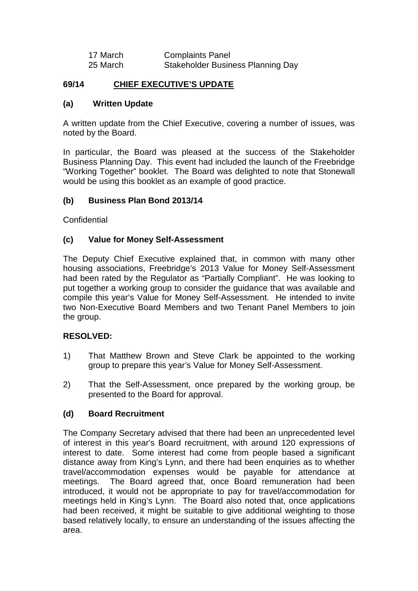| 17 March | <b>Complaints Panel</b>                  |
|----------|------------------------------------------|
| 25 March | <b>Stakeholder Business Planning Day</b> |

## **69/14 CHIEF EXECUTIVE'S UPDATE**

#### **(a) Written Update**

A written update from the Chief Executive, covering a number of issues, was noted by the Board.

In particular, the Board was pleased at the success of the Stakeholder Business Planning Day. This event had included the launch of the Freebridge "Working Together" booklet. The Board was delighted to note that Stonewall would be using this booklet as an example of good practice.

#### **(b) Business Plan Bond 2013/14**

**Confidential** 

#### **(c) Value for Money Self-Assessment**

The Deputy Chief Executive explained that, in common with many other housing associations, Freebridge's 2013 Value for Money Self-Assessment had been rated by the Regulator as "Partially Compliant". He was looking to put together a working group to consider the guidance that was available and compile this year's Value for Money Self-Assessment. He intended to invite two Non-Executive Board Members and two Tenant Panel Members to join the group.

#### **RESOLVED:**

- 1) That Matthew Brown and Steve Clark be appointed to the working group to prepare this year's Value for Money Self-Assessment.
- 2) That the Self-Assessment, once prepared by the working group, be presented to the Board for approval.

#### **(d) Board Recruitment**

The Company Secretary advised that there had been an unprecedented level of interest in this year's Board recruitment, with around 120 expressions of interest to date. Some interest had come from people based a significant distance away from King's Lynn, and there had been enquiries as to whether travel/accommodation expenses would be payable for attendance at meetings. The Board agreed that, once Board remuneration had been introduced, it would not be appropriate to pay for travel/accommodation for meetings held in King's Lynn. The Board also noted that, once applications had been received, it might be suitable to give additional weighting to those based relatively locally, to ensure an understanding of the issues affecting the area.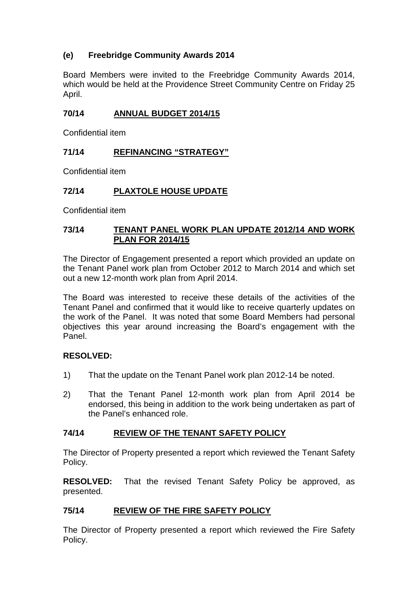# **(e) Freebridge Community Awards 2014**

Board Members were invited to the Freebridge Community Awards 2014, which would be held at the Providence Street Community Centre on Friday 25 April.

### **70/14 ANNUAL BUDGET 2014/15**

Confidential item

## **71/14 REFINANCING "STRATEGY"**

Confidential item

## **72/14 PLAXTOLE HOUSE UPDATE**

Confidential item

### **73/14 TENANT PANEL WORK PLAN UPDATE 2012/14 AND WORK PLAN FOR 2014/15**

The Director of Engagement presented a report which provided an update on the Tenant Panel work plan from October 2012 to March 2014 and which set out a new 12-month work plan from April 2014.

The Board was interested to receive these details of the activities of the Tenant Panel and confirmed that it would like to receive quarterly updates on the work of the Panel. It was noted that some Board Members had personal objectives this year around increasing the Board's engagement with the Panel.

## **RESOLVED:**

- 1) That the update on the Tenant Panel work plan 2012-14 be noted.
- 2) That the Tenant Panel 12-month work plan from April 2014 be endorsed, this being in addition to the work being undertaken as part of the Panel's enhanced role.

## **74/14 REVIEW OF THE TENANT SAFETY POLICY**

The Director of Property presented a report which reviewed the Tenant Safety Policy.

**RESOLVED:** That the revised Tenant Safety Policy be approved, as presented.

## **75/14 REVIEW OF THE FIRE SAFETY POLICY**

The Director of Property presented a report which reviewed the Fire Safety Policy.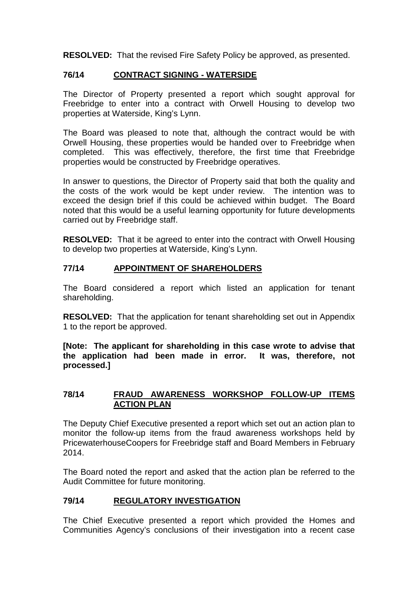**RESOLVED:** That the revised Fire Safety Policy be approved, as presented.

#### **76/14 CONTRACT SIGNING - WATERSIDE**

The Director of Property presented a report which sought approval for Freebridge to enter into a contract with Orwell Housing to develop two properties at Waterside, King's Lynn.

The Board was pleased to note that, although the contract would be with Orwell Housing, these properties would be handed over to Freebridge when completed. This was effectively, therefore, the first time that Freebridge properties would be constructed by Freebridge operatives.

In answer to questions, the Director of Property said that both the quality and the costs of the work would be kept under review. The intention was to exceed the design brief if this could be achieved within budget. The Board noted that this would be a useful learning opportunity for future developments carried out by Freebridge staff.

**RESOLVED:** That it be agreed to enter into the contract with Orwell Housing to develop two properties at Waterside, King's Lynn.

## **77/14 APPOINTMENT OF SHAREHOLDERS**

The Board considered a report which listed an application for tenant shareholding.

**RESOLVED:** That the application for tenant shareholding set out in Appendix 1 to the report be approved.

**[Note: The applicant for shareholding in this case wrote to advise that the application had been made in error. It was, therefore, not processed.]**

#### **78/14 FRAUD AWARENESS WORKSHOP FOLLOW-UP ITEMS ACTION PLAN**

The Deputy Chief Executive presented a report which set out an action plan to monitor the follow-up items from the fraud awareness workshops held by PricewaterhouseCoopers for Freebridge staff and Board Members in February 2014.

The Board noted the report and asked that the action plan be referred to the Audit Committee for future monitoring.

## **79/14 REGULATORY INVESTIGATION**

The Chief Executive presented a report which provided the Homes and Communities Agency's conclusions of their investigation into a recent case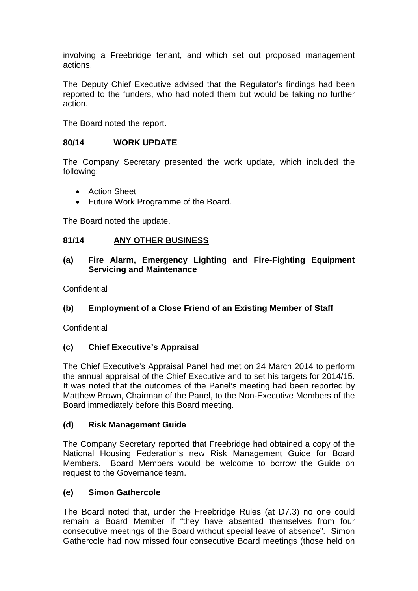involving a Freebridge tenant, and which set out proposed management actions.

The Deputy Chief Executive advised that the Regulator's findings had been reported to the funders, who had noted them but would be taking no further action.

The Board noted the report.

#### **80/14 WORK UPDATE**

The Company Secretary presented the work update, which included the following:

- Action Sheet
- Future Work Programme of the Board.

The Board noted the update.

#### **81/14 ANY OTHER BUSINESS**

### **(a) Fire Alarm, Emergency Lighting and Fire-Fighting Equipment Servicing and Maintenance**

**Confidential** 

## **(b) Employment of a Close Friend of an Existing Member of Staff**

**Confidential** 

## **(c) Chief Executive's Appraisal**

The Chief Executive's Appraisal Panel had met on 24 March 2014 to perform the annual appraisal of the Chief Executive and to set his targets for 2014/15. It was noted that the outcomes of the Panel's meeting had been reported by Matthew Brown, Chairman of the Panel, to the Non-Executive Members of the Board immediately before this Board meeting.

#### **(d) Risk Management Guide**

The Company Secretary reported that Freebridge had obtained a copy of the National Housing Federation's new Risk Management Guide for Board Members. Board Members would be welcome to borrow the Guide on request to the Governance team.

## **(e) Simon Gathercole**

The Board noted that, under the Freebridge Rules (at D7.3) no one could remain a Board Member if "they have absented themselves from four consecutive meetings of the Board without special leave of absence". Simon Gathercole had now missed four consecutive Board meetings (those held on